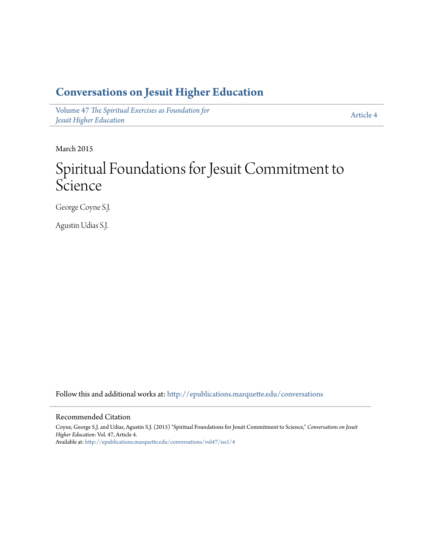## **[Conversations on Jesuit Higher Education](http://epublications.marquette.edu/conversations?utm_source=epublications.marquette.edu%2Fconversations%2Fvol47%2Fiss1%2F4&utm_medium=PDF&utm_campaign=PDFCoverPages)**

Volume 47 Th[e Spiritual Exercises as Foundation for](http://epublications.marquette.edu/conversations/vol47?utm_source=epublications.marquette.edu%2Fconversations%2Fvol47%2Fiss1%2F4&utm_medium=PDF&utm_campaign=PDFCoverPages) *[Jesuit Higher Education](http://epublications.marquette.edu/conversations/vol47?utm_source=epublications.marquette.edu%2Fconversations%2Fvol47%2Fiss1%2F4&utm_medium=PDF&utm_campaign=PDFCoverPages)*

[Article 4](http://epublications.marquette.edu/conversations/vol47/iss1/4?utm_source=epublications.marquette.edu%2Fconversations%2Fvol47%2Fiss1%2F4&utm_medium=PDF&utm_campaign=PDFCoverPages)

March 2015

## Spiritual Foundations for Jesuit Commitment to **Science**

George Coyne S.J.

Agustin Udias S.J.

Follow this and additional works at: http://epublications.marquette.edu/conversations

## Recommended Citation

Coyne, George S.J. and Udias, Agustin S.J. (2015) "Spiritual Foundations for Jesuit Commitment to Science," *Conversations on Jesuit Higher Education*: Vol. 47, Article 4. Available at: http://epublications.marquette.edu/conversations/vol47/iss1/4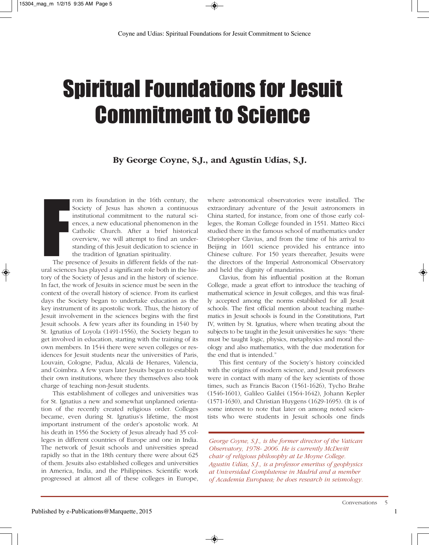## Spiritual Foundations for Jesuit Commitment to Science

**By George Coyne, S.J., and Agustín Udías, S.J.**

rom its foundation in the 16th century, the Society of Jesus has shown a continuous institutional commitment to the natural sciences, a new educational phenomenon in the Catholic Church. After a brief historical overview, we will attempt to find an understanding of this Jesuit dedication to science in the tradition of Ignatian spirituality.

Francisco Contractor Contractor Contractor Contractor Contractor Contractor Contractor Contractor Contractor Contractor Contractor Contractor Contractor Contractor Contractor Contractor Contractor Contractor Contractor Con The presence of Jesuits in different fields of the natural sciences has played a significant role both in the history of the Society of Jesus and in the history of science. In fact, the work of Jesuits in science must be seen in the context of the overall history of science. From its earliest days the Society began to undertake education as the key instrument of its apostolic work. Thus, the history of Jesuit involvement in the sciences begins with the first Jesuit schools. A few years after its founding in 1540 by St. Ignatius of Loyola (1491-1556), the Society began to get involved in education, starting with the training of its own members. In 1544 there were seven colleges or residences for Jesuit students near the universities of Paris, Louvain, Cologne, Padua, Alcalá de Henares, Valencia, and Coimbra. A few years later Jesuits began to establish their own institutions, where they themselves also took charge of teaching non-Jesuit students.

This establishment of colleges and universities was for St. Ignatius a new and somewhat unplanned orientation of the recently created religious order. Colleges became, even during St. Ignatius's lifetime, the most important instrument of the order's apostolic work. At his death in 1556 the Society of Jesus already had 35 colleges in different countries of Europe and one in India. The network of Jesuit schools and universities spread rapidly so that in the 18th century there were about 625 of them. Jesuits also established colleges and universities in America, India, and the Philippines. Scientific work progressed at almost all of these colleges in Europe, where astronomical observatories were installed. The extraordinary adventure of the Jesuit astronomers in China started, for instance, from one of those early colleges, the Roman College founded in 1551. Matteo Ricci studied there in the famous school of mathematics under Christopher Clavius, and from the time of his arrival to Beijing in 1601 science provided his entrance into Chinese culture. For 150 years thereafter, Jesuits were the directors of the Imperial Astronomical Observatory and held the dignity of mandarins.

Clavius, from his influential position at the Roman College, made a great effort to introduce the teaching of mathematical science in Jesuit colleges, and this was finally accepted among the norms established for all Jesuit schools. The first official mention about teaching mathematics in Jesuit schools is found in the Constitutions, Part IV, written by St. Ignatius, where when treating about the subjects to be taught in the Jesuit universities he says: "there must be taught logic, physics, metaphysics and moral theology and also mathematics, with the due moderation for the end that is intended."

This first century of the Society's history coincided with the origins of modern science, and Jesuit professors were in contact with many of the key scientists of those times, such as Francis Bacon (1561-1626), Tycho Brahe (1546-1601), Galileo Galilei (1564-1642), Johann Kepler (1571-1630), and Christian Huygens (1629-1695). (It is of some interest to note that later on among noted scientists who were students in Jesuit schools one finds

*George Coyne, S.J., is the former director of the Vatican Observatory, 1978- 2006. He is currently McDevitt chair of religious philosophy at Le Moyne College. Agustin Udías, S.J., is a professor emeritus of geophysics at Universidad Complutense in Madrid and a member of Academia Europaea; he does research in seismology.*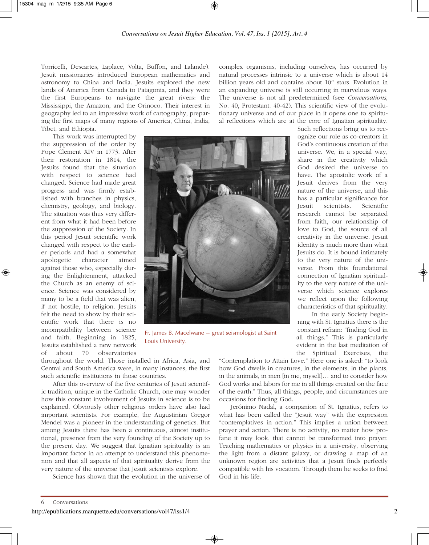Torricelli, Descartes, Laplace, Volta, Buffon, and Lalande). Jesuit missionaries introduced European mathematics and astronomy to China and India. Jesuits explored the new lands of America from Canada to Patagonia, and they were the first Europeans to navigate the great rivers: the Mississippi, the Amazon, and the Orinoco. Their interest in geography led to an impressive work of cartography, preparing the first maps of many regions of America, China, India, Tibet, and Ethiopia.

complex organisms, including ourselves, has occurred by natural processes intrinsic to a universe which is about 14 billion years old and contains about  $10^{22}$  stars. Evolution in an expanding universe is still occurring in marvelous ways. The universe is not all predetermined (see *Conversations*, No. 40, Protestant. 40-42). This scientific view of the evolutionary universe and of our place in it opens one to spiritual reflections which are at the core of Ignatian spirituality.

This work was interrupted by the suppression of the order by Pope Clement XIV in 1773. After their restoration in 1814, the Jesuits found that the situation with respect to science had changed. Science had made great progress and was firmly established with branches in physics, chemistry, geology, and biology. The situation was thus very different from what it had been before the suppression of the Society. In this period Jesuit scientific work changed with respect to the earlier periods and had a somewhat apologetic character aimed against those who, especially during the Enlightenment, attacked the Church as an enemy of science. Science was considered by many to be a field that was alien, if not hostile, to religion. Jesuits felt the need to show by their scientific work that there is no incompatibility between science and faith. Beginning in 1825, Jesuits established a new network of about 70 observatories



Fr. James B. Macelwane – great seismologist at Saint Louis University.

Such reflections bring us to recognize our role as co-creators in God's continuous creation of the universe. We, in a special way, share in the creativity which God desired the universe to have. The apostolic work of a Jesuit derives from the very nature of the universe, and this has a particular significance for Jesuit scientists. Scientific research cannot be separated from faith, our relationship of love to God, the source of all creativity in the universe. Jesuit identity is much more than what Jesuits do. It is bound intimately to the very nature of the universe. From this foundational connection of Ignatian spirituality to the very nature of the universe which science explores we reflect upon the following characteristics of that spirituality.

In the early Society beginning with St. Ignatius there is the constant refrain: "finding God in all things." This is particularly evident in the last meditation of the Spiritual Exercises, the

throughout the world. Those installed in Africa, Asia, and Central and South America were, in many instances, the first such scientific institutions in those countries.

After this overview of the five centuries of Jesuit scientific tradition, unique in the Catholic Church, one may wonder how this constant involvement of Jesuits in science is to be explained. Obviously other religious orders have also had important scientists. For example, the Augustinian Gregor Mendel was a pioneer in the understanding of genetics. But among Jesuits there has been a continuous, almost institutional, presence from the very founding of the Society up to the present day. We suggest that Ignatian spirituality is an important factor in an attempt to understand this phenomenon and that all aspects of that spirituality derive from the very nature of the universe that Jesuit scientists explore.

Science has shown that the evolution in the universe of

"Contemplation to Attain Love." Here one is asked: "to look how God dwells in creatures, in the elements, in the plants, in the animals, in men [in me, myself]… and to consider how God works and labors for me in all things created on the face of the earth." Thus, all things, people, and circumstances are occasions for finding God.

Jerónimo Nadal, a companion of St. Ignatius, refers to what has been called the "Jesuit way" with the expression "contemplatives in action." This implies a union between prayer and action. There is no activity, no matter how profane it may look, that cannot be transformed into prayer. Teaching mathematics or physics in a university, observing the light from a distant galaxy, or drawing a map of an unknown region are activities that a Jesuit finds perfectly compatible with his vocation. Through them he seeks to find God in his life.